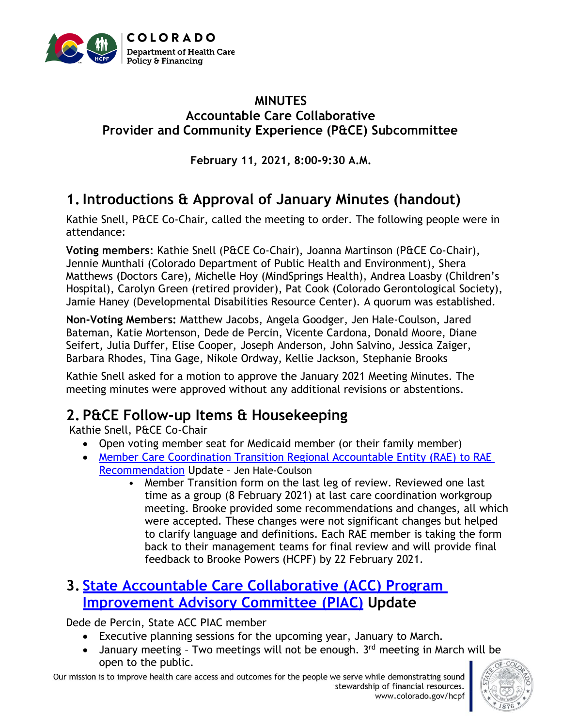

#### **MINUTES Accountable Care Collaborative Provider and Community Experience (P&CE) Subcommittee**

**February 11, 2021, 8:00-9:30 A.M.**

## **1.Introductions & Approval of January Minutes (handout)**

Kathie Snell, P&CE Co-Chair, called the meeting to order. The following people were in attendance:

**Voting members**: Kathie Snell (P&CE Co-Chair), Joanna Martinson (P&CE Co-Chair), Jennie Munthali (Colorado Department of Public Health and Environment), Shera Matthews (Doctors Care), Michelle Hoy (MindSprings Health), Andrea Loasby (Children's Hospital), Carolyn Green (retired provider), Pat Cook (Colorado Gerontological Society), Jamie Haney (Developmental Disabilities Resource Center). A quorum was established.

**Non-Voting Members:** Matthew Jacobs, Angela Goodger, Jen Hale-Coulson, Jared Bateman, Katie Mortenson, Dede de Percin, Vicente Cardona, Donald Moore, Diane Seifert, Julia Duffer, Elise Cooper, Joseph Anderson, John Salvino, Jessica Zaiger, Barbara Rhodes, Tina Gage, Nikole Ordway, Kellie Jackson, Stephanie Brooks

Kathie Snell asked for a motion to approve the January 2021 Meeting Minutes. The meeting minutes were approved without any additional revisions or abstentions.

# **2. P&CE Follow-up Items & Housekeeping**

Kathie Snell, P&CE Co-Chair

- Open voting member seat for Medicaid member (or their family member)
- [Member Care Coordination Transition Regional Accountable Entity \(RAE\)](https://www.colorado.gov/pacific/sites/default/files/Accountable%20Care%20Collaborative%20Program%20Improvement%20Advisory%20Committee%20Provider%20and%20Community%20Experience%20Subcommittee%20Recommendations%20October%202020.pdf) to RAE [Recommendation](https://www.colorado.gov/pacific/sites/default/files/Accountable%20Care%20Collaborative%20Program%20Improvement%20Advisory%20Committee%20Provider%20and%20Community%20Experience%20Subcommittee%20Recommendations%20October%202020.pdf) Update – Jen Hale-Coulson
	- Member Transition form on the last leg of review. Reviewed one last time as a group (8 February 2021) at last care coordination workgroup meeting. Brooke provided some recommendations and changes, all which were accepted. These changes were not significant changes but helped to clarify language and definitions. Each RAE member is taking the form back to their management teams for final review and will provide final feedback to Brooke Powers (HCPF) by 22 February 2021.

### **3. [State Accountable Care Collaborative \(ACC\) Program](https://www.colorado.gov/pacific/hcpf/accountable-care-collaborative-program-improvement-advisory-committee)  [Improvement Advisory Committee](https://www.colorado.gov/pacific/hcpf/accountable-care-collaborative-program-improvement-advisory-committee) (PIAC) Update**

Dede de Percin, State ACC PIAC member

- Executive planning sessions for the upcoming year, January to March.
- January meeting Two meetings will not be enough.  $3<sup>rd</sup>$  meeting in March will be open to the public.

Our mission is to improve health care access and outcomes for the people we serve while demonstrating sound stewardship of financial resources. www.colorado.gov/hcpf

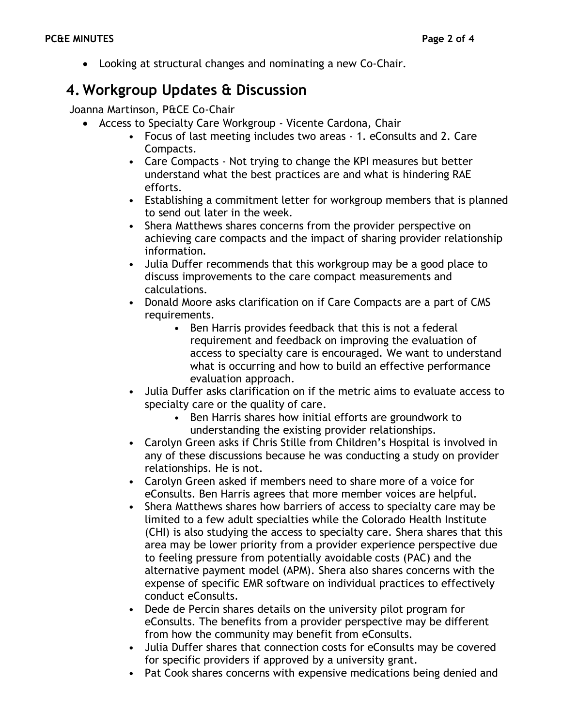• Looking at structural changes and nominating a new Co-Chair.

### **4. Workgroup Updates & Discussion**

Joanna Martinson, P&CE Co-Chair

- Access to Specialty Care Workgroup Vicente Cardona, Chair
	- Focus of last meeting includes two areas 1. eConsults and 2. Care Compacts.
	- Care Compacts Not trying to change the KPI measures but better understand what the best practices are and what is hindering RAE efforts.
	- Establishing a commitment letter for workgroup members that is planned to send out later in the week.
	- Shera Matthews shares concerns from the provider perspective on achieving care compacts and the impact of sharing provider relationship information.
	- Julia Duffer recommends that this workgroup may be a good place to discuss improvements to the care compact measurements and calculations.
	- Donald Moore asks clarification on if Care Compacts are a part of CMS requirements.
		- Ben Harris provides feedback that this is not a federal requirement and feedback on improving the evaluation of access to specialty care is encouraged. We want to understand what is occurring and how to build an effective performance evaluation approach.
	- Julia Duffer asks clarification on if the metric aims to evaluate access to specialty care or the quality of care.
		- Ben Harris shares how initial efforts are groundwork to understanding the existing provider relationships.
	- Carolyn Green asks if Chris Stille from Children's Hospital is involved in any of these discussions because he was conducting a study on provider relationships. He is not.
	- Carolyn Green asked if members need to share more of a voice for eConsults. Ben Harris agrees that more member voices are helpful.
	- Shera Matthews shares how barriers of access to specialty care may be limited to a few adult specialties while the Colorado Health Institute (CHI) is also studying the access to specialty care. Shera shares that this area may be lower priority from a provider experience perspective due to feeling pressure from potentially avoidable costs (PAC) and the alternative payment model (APM). Shera also shares concerns with the expense of specific EMR software on individual practices to effectively conduct eConsults.
	- Dede de Percin shares details on the university pilot program for eConsults. The benefits from a provider perspective may be different from how the community may benefit from eConsults.
	- Julia Duffer shares that connection costs for eConsults may be covered for specific providers if approved by a university grant.
	- Pat Cook shares concerns with expensive medications being denied and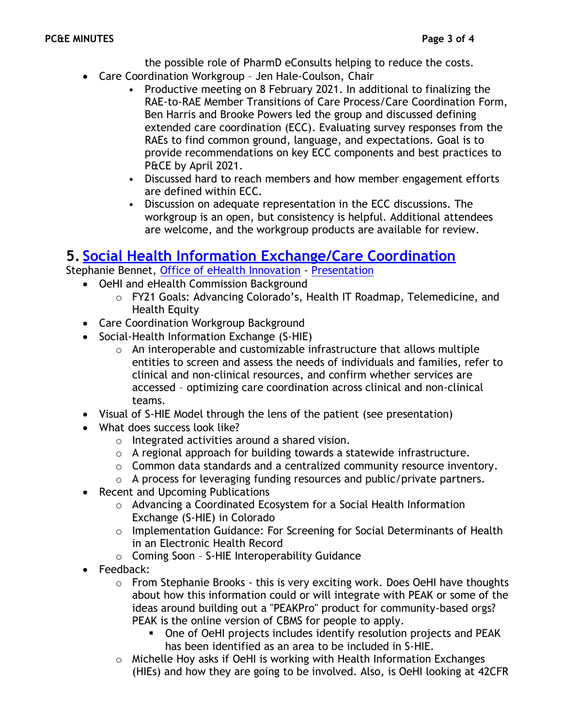the possible role of PharmD eConsults helping to reduce the costs.

- Care Coordination Workgroup Jen Hale-Coulson, Chair
	- Productive meeting on 8 February 2021. In additional to finalizing the RAE-to-RAE Member Transitions of Care Process/Care Coordination Form, Ben Harris and Brooke Powers led the group and discussed defining extended care coordination (ECC). Evaluating survey responses from the RAEs to find common ground, language, and expectations. Goal is to provide recommendations on key ECC components and best practices to P&CE by April 2021.
	- Discussed hard to reach members and how member engagement efforts are defined within ECC.
	- Discussion on adequate representation in the ECC discussions. The workgroup is an open, but consistency is helpful. Additional attendees are welcome, and the workgroup products are available for review.

#### **5. [Social Health Information Exchange/Care](https://oehi.colorado.gov/oehi-projects/care-coordination) Coordination**

- Stephanie Bennet, [Office of eHealth Innovation](https://oehi.colorado.gov/) [Presentation](https://www.colorado.gov/pacific/sites/default/files/Provider%20and%20Community%20Experience%20PIAC%20Subcommittee%20PowerPoint%20February%202021.pdf)
	- OeHI and eHealth Commission Background
		- o FY21 Goals: Advancing Colorado's, Health IT Roadmap, Telemedicine, and Health Equity
	- Care Coordination Workgroup Background
	- Social-Health Information Exchange (S-HIE)
		- o An interoperable and customizable infrastructure that allows multiple entities to screen and assess the needs of individuals and families, refer to clinical and non-clinical resources, and confirm whether services are accessed – optimizing care coordination across clinical and non-clinical teams.
	- Visual of S-HIE Model through the lens of the patient (see presentation)
	- What does success look like?
		- o Integrated activities around a shared vision.
		- $\circ$  A regional approach for building towards a statewide infrastructure.
		- o Common data standards and a centralized community resource inventory.
		- o A process for leveraging funding resources and public/private partners.
	- Recent and Upcoming Publications
		- o Advancing a Coordinated Ecosystem for a Social Health Information Exchange (S-HIE) in Colorado
		- o Implementation Guidance: For Screening for Social Determinants of Health in an Electronic Health Record
		- o Coming Soon S-HIE Interoperability Guidance
	- Feedback:
		- o From Stephanie Brooks this is very exciting work. Does OeHI have thoughts about how this information could or will integrate with PEAK or some of the ideas around building out a "PEAKPro" product for community-based orgs? PEAK is the online version of CBMS for people to apply.
			- One of OeHI projects includes identify resolution projects and PEAK has been identified as an area to be included in S-HIE.
		- o Michelle Hoy asks if OeHI is working with Health Information Exchanges (HIEs) and how they are going to be involved. Also, is OeHI looking at 42CFR